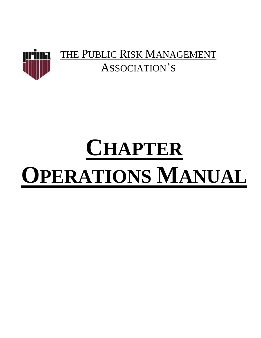

# **CHAPTER OPERATIONS MANUAL**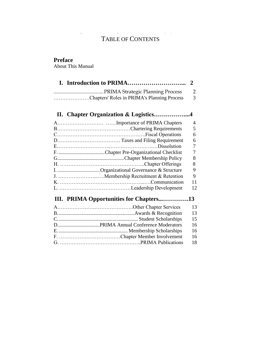# TABLE OF CONTENTS

# **Preface**

About This Manual

| Chapters' Roles in PRIMA's Planning Process | - 3 |
|---------------------------------------------|-----|

# **II. Chapter Organization & Logistics……………....4**

|                        | 4  |
|------------------------|----|
|                        | 5  |
|                        | 6  |
|                        | 6  |
|                        |    |
|                        |    |
|                        | 8  |
|                        | 8  |
|                        | 9  |
|                        | 9  |
| $K_{1}, \ldots, K_{n}$ | 11 |
|                        | 12 |
|                        |    |

# **III. PRIMA Opportunities for Chapters...………….13**

|  | 13   |
|--|------|
|  | -13  |
|  | 15   |
|  | 16   |
|  | 16   |
|  | - 16 |
|  | 18   |
|  |      |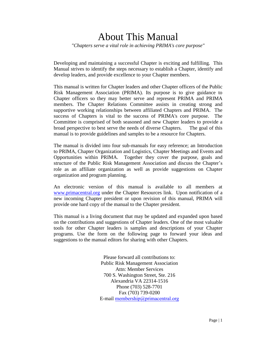# About This Manual

*"Chapters serve a vital role in achieving PRIMA's core purpose"* 

Developing and maintaining a successful Chapter is exciting and fulfilling. This Manual strives to identify the steps necessary to establish a Chapter, identify and develop leaders, and provide excellence to your Chapter members.

This manual is written for Chapter leaders and other Chapter officers of the Public Risk Management Association (PRIMA). Its purpose is to give guidance to Chapter officers so they may better serve and represent PRIMA and PRIMA members. The Chapter Relations Committee assists in creating strong and supportive working relationships between affiliated Chapters and PRIMA. The success of Chapters is vital to the success of PRIMA's core purpose. The Committee is comprised of both seasoned and new Chapter leaders to provide a broad perspective to best serve the needs of diverse Chapters. The goal of this manual is to provide guidelines and samples to be a resource for Chapters.

The manual is divided into four sub-manuals for easy reference; an Introduction to PRIMA, Chapter Organization and Logistics, Chapter Meetings and Events and Opportunities within PRIMA. Together they cover the purpose, goals and structure of the Public Risk Management Association and discuss the Chapter's role as an affiliate organization as well as provide suggestions on Chapter organization and program planning.

An electronic version of this manual is available to all members at [www.primacentral.org](http://www.primacentral.org/) under the Chapter Resources link. Upon notification of a new incoming Chapter president or upon revision of this manual, PRIMA will provide one hard copy of the manual to the Chapter president.

This manual is a living document that may be updated and expanded upon based on the contributions and suggestions of Chapter leaders. One of the most valuable tools for other Chapter leaders is samples and descriptions of your Chapter programs. Use the form on the following page to forward your ideas and suggestions to the manual editors for sharing with other Chapters.

> Please forward all contributions to: Public Risk Management Association Attn: Member Services 700 S. Washington Street, Ste. 216 Alexandria VA 22314-1516 Phone (703) 528-7701 Fax (703) 739-0200 E-mail [membership@primacentral.o](mailto:bdones@primacentral.org)rg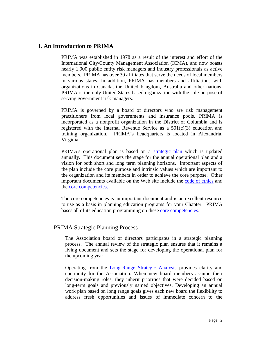# **I. An Introduction to PRIMA**

PRIMA was established in 1978 as a result of the interest and effort of the International City/County Management Association (ICMA), and now boasts nearly 1,900 public entity risk managers and industry professionals as active members. PRIMA has over 30 affiliates that serve the needs of local members in various states. In addition, PRIMA has members and affiliations with organizations in Canada, the United Kingdom, Australia and other nations. PRIMA is the only United States based organization with the sole purpose of serving government risk managers.

PRIMA is governed by a board of directors who are risk management practitioners from local governments and insurance pools. PRIMA is incorporated as a nonprofit organization in the District of Columbia and is registered with the Internal Revenue Service as a  $501(c)(3)$  education and training organization. PRIMA's headquarters is located in Alexandria, Virginia.

PRIMA's operational plan is based on a [strategic plan](../../../PRIMA%20Business/Strategic%20Plan/2012%20-%202013%20Strategic%20Plan/2012-13_strategic_plan.pdf) which is updated annually. This document sets the stage for the annual operational plan and a vision for both short and long term planning horizons. Important aspects of the plan include the core purpose and intrinsic values which are important to the organization and its members in order to achieve the core purpose. Other important documents available on the Web site include the [code of ethics](../../../Communications/Website/About%20PRIMA/codeofethics.pdf) and the [core competencies.](../../../Communications/Website/About%20PRIMA/Core%20Competencies/revised_core_comps_08.pdf) 

The core competencies is an important document and is an excellent resource to use as a basis in planning education programs for your Chapter. PRIMA bases all of its education programming on these [core competencies.](../../../Communications/Website/About%20PRIMA/Core%20Competencies/revised_core_comps_08.pdf)

# PRIMA Strategic Planning Process

The Association board of directors participates in a strategic planning process. The annual review of the strategic plan ensures that it remains a living document and sets the stage for developing the operational plan for the upcoming year.

Operating from the [Long-Range Strategic Analysis](../../../Communications/Website/About%20PRIMA/Strategic%20Plan/Long-Range%20Plan/Long_Range_Strategic_Analysis_2006.pdf) provides clarity and continuity for the Association. When new board members assume their decision-making roles, they inherit priorities that were decided based on long-term goals and previously named objectives. Developing an annual work plan based on long range goals gives each new board the flexibility to address fresh opportunities and issues of immediate concern to the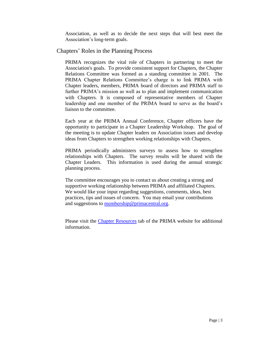Association, as well as to decide the next steps that will best meet the Association's long-term goals.

#### Chapters' Roles in the Planning Process

PRIMA recognizes the vital role of Chapters in partnering to meet the Association's goals. To provide consistent support for Chapters, the Chapter Relations Committee was formed as a standing committee in 2001. The PRIMA Chapter Relations Committee's charge is to link PRIMA with Chapter leaders, members, PRIMA board of directors and PRIMA staff to further PRIMA's mission as well as to plan and implement communication with Chapters. It is composed of representative members of Chapter leadership and one member of the PRIMA board to serve as the board's liaison to the committee.

Each year at the PRIMA Annual Conference, Chapter officers have the opportunity to participate in a Chapter Leadership Workshop. The goal of the meeting is to update Chapter leaders on Association issues and develop ideas from Chapters to strengthen working relationships with Chapters.

PRIMA periodically administers surveys to assess how to strengthen relationships with Chapters. The survey results will be shared with the Chapter Leaders. This information is used during the annual strategic planning process.

The committee encourages you to contact us about creating a strong and supportive working relationship between PRIMA and affiliated Chapters. We would like your input regarding suggestions, comments, ideas, best practices, tips and issues of concern. You may email your contributions and suggestions to membership@primacentral.org.

Please visit the [Chapter Resources](http://www.primacentral.org/content.cfm?sectionid=42) tab of the PRIMA website for additional information.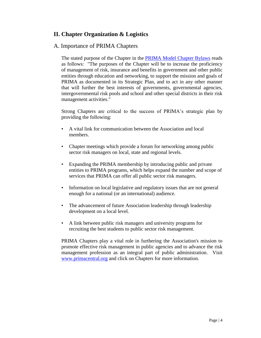# **II. Chapter Organization & Logistics**

#### A. Importance of PRIMA Chapters

The stated purpose of the Chapter in the [PRIMA Model Chapter Bylaws](../../../Communications/Website/Chapters/Chapter%20Resources/Documents/Docs%20and%20Resources/ChapterByLawsMay05.pdf) reads as follows: "The purposes of the Chapter will be to increase the proficiency of management of risk, insurance and benefits in government and other public entities through education and networking, to support the mission and goals of PRIMA as documented in its Strategic Plan, and to act in any other manner that will further the best interests of governments, governmental agencies, intergovernmental risk pools and school and other special districts in their risk management activities."

Strong Chapters are critical to the success of PRIMA's strategic plan by providing the following:

- A vital link for communication between the Association and local members.
- Chapter meetings which provide a forum for networking among public sector risk managers on local, state and regional levels.
- Expanding the PRIMA membership by introducing public and private entities to PRIMA programs, which helps expand the number and scope of services that PRIMA can offer all public sector risk managers.
- Information on local legislative and regulatory issues that are not general enough for a national (or an international) audience.
- The advancement of future Association leadership through leadership development on a local level.
- A link between public risk managers and university programs for recruiting the best students to public sector risk management.

PRIMA Chapters play a vital role in furthering the Association's mission to promote effective risk management in public agencies and to advance the risk management profession as an integral part of public administration. Visit [www.primacentral.org](http://www.primacentral.org/) and click on Chapters for more information.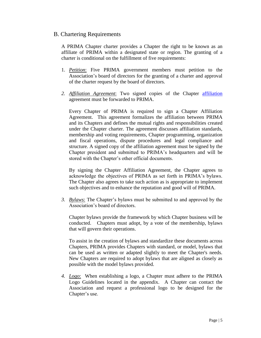#### B. Chartering Requirements

A PRIMA Chapter charter provides a Chapter the right to be known as an affiliate of PRIMA within a designated state or region. The granting of a charter is conditional on the fulfillment of five requirements:

- 1. *Petition*: Five PRIMA government members must petition to the Association's board of directors for the granting of a charter and approval of the charter request by the board of directors.
- *2. Affiliation Agreement*: Two signed copies of the Chapter [affiliation](../../../Chapters/CHAPTERS%202012-2013/Chapter%20Affilation%20Agreement.doc) agreement must be forwarded to PRIMA.

Every Chapter of PRIMA is required to sign a Chapter Affiliation Agreement. This agreement formalizes the affiliation between PRIMA and its Chapters and defines the mutual rights and responsibilities created under the Chapter charter. The agreement discusses affiliation standards, membership and voting requirements, Chapter programming, organization and fiscal operations, dispute procedures and legal compliance and structure. A signed copy of the affiliation agreement must be signed by the Chapter president and submitted to PRIMA's headquarters and will be stored with the Chapter's other official documents.

By signing the Chapter Affiliation Agreement, the Chapter agrees to acknowledge the objectives of PRIMA as set forth in PRIMA's bylaws. The Chapter also agrees to take such action as is appropriate to implement such objectives and to enhance the reputation and good will of PRIMA.

*3. Bylaws*: The Chapter's bylaws must be submitted to and approved by the Association's board of directors.

Chapter bylaws provide the framework by which Chapter business will be conducted. Chapters must adopt, by a vote of the membership, bylaws that will govern their operations.

To assist in the creation of bylaws and standardize these documents across Chapters, PRIMA provides Chapters with standard, or model, bylaws that can be used as written or adapted slightly to meet the Chapter's needs. New Chapters are required to adopt bylaws that are aligned as closely as possible with the model bylaws provided.

*4. Logo*: When establishing a logo, a Chapter must adhere to the PRIMA Logo Guidelines located in the appendix. A Chapter can contact the Association and request a professional logo to be designed for the Chapter's use.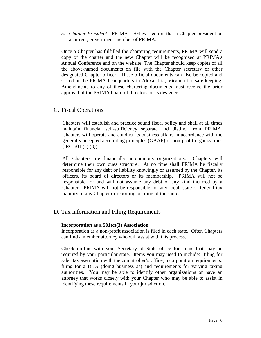*5. Chapter President*: PRIMA's Bylaws require that a Chapter president be a current, government member of PRIMA.

Once a Chapter has fulfilled the chartering requirements, PRIMA will send a copy of the charter and the new Chapter will be recognized at PRIMA's Annual Conference and on the website. The Chapter should keep copies of all the above-named documents on file with the Chapter secretary or other designated Chapter officer. These official documents can also be copied and stored at the PRIMA headquarters in Alexandria, Virginia for safe-keeping. Amendments to any of these chartering documents must receive the prior approval of the PRIMA board of directors or its designee.

#### C. Fiscal Operations

Chapters will establish and practice sound fiscal policy and shall at all times maintain financial self-sufficiency separate and distinct from PRIMA. Chapters will operate and conduct its business affairs in accordance with the generally accepted accounting principles (GAAP) of non-profit organizations (IRC 501 (c) (3)).

All Chapters are financially autonomous organizations. Chapters will determine their own dues structure. At no time shall PRIMA be fiscally responsible for any debt or liability knowingly or assumed by the Chapter, its officers, its board of directors or its membership. PRIMA will not be responsible for and will not assume any debt of any kind incurred by a Chapter. PRIMA will not be responsible for any local, state or federal tax liability of any Chapter or reporting or filing of the same.

# D. Tax information and Filing Requirements

#### **Incorporation as a 501(c)(3) Association**

Incorporation as a non-profit association is filed in each state. Often Chapters can find a member attorney who will assist with this process.

Check on-line with your Secretary of State office for items that may be required by your particular state. Items you may need to include: filing for sales tax exemption with the comptroller's office, incorporation requirements, filing for a DBA (doing business as) and requirements for varying taxing authorities. You may be able to identify other organizations or have an attorney that works closely with your Chapter who may be able to assist in identifying these requirements in your jurisdiction.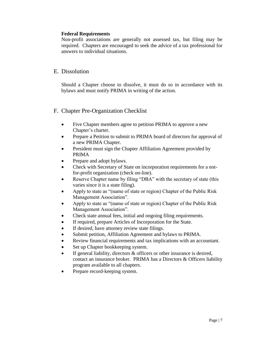#### **Federal Requirements**

Non-profit associations are generally not assessed tax, but filing may be required. Chapters are encouraged to seek the advice of a tax professional for answers to individual situations.

#### E. Dissolution

Should a Chapter choose to dissolve, it must do so in accordance with its bylaws and must notify PRIMA in writing of the action.

# F. Chapter Pre-Organization Checklist

- Five Chapter members agree to petition PRIMA to approve a new Chapter's charter.
- Prepare a Petition to submit to PRIMA board of directors for approval of a new PRIMA Chapter.
- President must sign the Chapter Affiliation Agreement provided by PRIMA
- Prepare and adopt bylaws.
- Check with Secretary of State on incorporation requirements for a not for-profit organization (check on-line).
- Reserve Chapter name by filing "DBA" with the secretary of state (this varies since it is a state filing).
- Apply to state as "(name of state or region) Chapter of the Public Risk Management Association".
- Apply to state as "(name of state or region) Chapter of the Public Risk Management Association".
- Check state annual fees, initial and ongoing filing requirements.
- If required, prepare Articles of Incorporation for the State.
- If desired, have attorney review state filings.
- Submit petition, Affiliation Agreement and bylaws to PRIMA.
- Review financial requirements and tax implications with an accountant.
- Set up Chapter bookkeeping system.
- If general liability, directors & officers or other insurance is desired, contact an insurance broker. PRIMA has a Directors & Officers liability program available to all chapters.
- Prepare record-keeping system.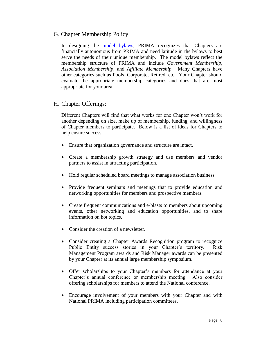# G. Chapter Membership Policy

In designing the [model bylaws,](../../../Communications/Website/Chapters/Chapter%20Resources/Documents/Docs%20and%20Resources/ChapterByLawsMay05.pdf) PRIMA recognizes that Chapters are financially autonomous from PRIMA and need latitude in the bylaws to best serve the needs of their unique membership. The model bylaws reflect the membership structure of PRIMA and include *Government Membership, Association Membership,* and *Affiliate Membership*. Many Chapters have other categories such as Pools, Corporate, Retired, etc. Your Chapter should evaluate the appropriate membership categories and dues that are most appropriate for your area.

# H. Chapter Offerings:

Different Chapters will find that what works for one Chapter won't work for another depending on size, make up of membership, funding, and willingness of Chapter members to participate. Below is a list of ideas for Chapters to help ensure success:

- Ensure that organization governance and structure are intact.
- Create a membership growth strategy and use members and vendor partners to assist in attracting participation.
- Hold regular scheduled board meetings to manage association business.
- Provide frequent seminars and meetings that to provide education and networking opportunities for members and prospective members.
- Create frequent communications and e-blasts to members about upcoming events, other networking and education opportunities, and to share information on hot topics.
- Consider the creation of a newsletter.
- Consider creating a Chapter Awards Recognition program to recognize Public Entity success stories in your Chapter's territory. Risk Management Program awards and Risk Manager awards can be presented by your Chapter at its annual large membership symposium.
- Offer scholarships to your Chapter's members for attendance at your Chapter's annual conference or membership meeting. Also consider offering scholarships for members to attend the National conference.
- Encourage involvement of your members with your Chapter and with National PRIMA including participation committees.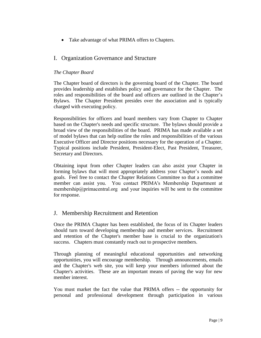Take advantage of what PRIMA offers to Chapters.

# I. Organization Governance and Structure

#### *The Chapter Board*

The Chapter board of directors is the governing board of the Chapter. The board provides leadership and establishes policy and governance for the Chapter. The roles and responsibilities of the board and officers are outlined in the Chapter's Bylaws. The Chapter President presides over the association and is typically charged with executing policy.

Responsibilities for officers and board members vary from Chapter to Chapter based on the Chapter's needs and specific structure. The bylaws should provide a broad view of the responsibilities of the board. PRIMA has made available a set of model bylaws that can help outline the roles and responsibilities of the various Executive Officer and Director positions necessary for the operation of a Chapter. Typical positions include President, President-Elect, Past President, Treasurer, Secretary and Directors.

Obtaining input from other Chapter leaders can also assist your Chapter in forming bylaws that will most appropriately address your Chapter's needs and goals. Feel free to contact the Chapter Relations Committee so that a committee member can assist you. You contact PRIMA's Membership Department at [membership@primacentral.org](mailto:bdones@primacentral.org) and your inquiries will be sent to the committee for response.

# J. Membership Recruitment and Retention

Once the PRIMA Chapter has been established, the focus of its Chapter leaders should turn toward developing membership and member services. Recruitment and retention of the Chapter's member base is crucial to the organization's success. Chapters must constantly reach out to prospective members.

Through planning of meaningful educational opportunities and networking opportunities, you will encourage membership. Through announcements, emails and the Chapter's web site, you will keep your members informed about the Chapter's activities. These are an important means of paving the way for new member interest.

You must market the fact the value that PRIMA offers -- the opportunity for personal and professional development through participation in various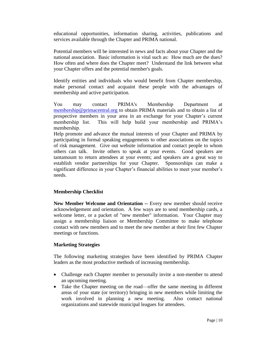educational opportunities, information sharing, activities, publications and services available through the Chapter and PRIMA national.

Potential members will be interested in news and facts about your Chapter and the national association. Basic information is vital such as: How much are the dues? How often and where does the Chapter meet? Understand the link between what your Chapter offers and the potential member's goals.

Identify entities and individuals who would benefit from Chapter membership, make personal contact and acquaint these people with the advantages of membership and active participation.

You may contact PRIMA's Members[hip Department](mailto:bdones@primacentral.org) at membership@primacentral.org to obtain PRIMA materials and to obtain a list of prospective members in your area in an exchange for your Chapter's current membership list. This will help build your membership and PRIMA's membership.

Help promote and advance the mutual interests of your Chapter and PRIMA by participating in formal speaking engagements to other associations on the topics of risk management. Give out website information and contact people to whom others can talk. Invite others to speak at your events. Good speakers are tantamount to return attendees at your events; and speakers are a great way to establish vendor partnerships for your Chapter. Sponsorships can make a significant difference in your Chapter's financial abilities to meet your member's needs.

#### **Membership Checklist**

**New Member Welcome and Orientation --** Every new member should receive acknowledgement and orientation. A few ways are to send membership cards, a welcome letter, or a packet of "new member" information. Your Chapter may assign a membership liaison or Membership Committee to make telephone contact with new members and to meet the new member at their first few Chapter meetings or functions.

#### **Marketing Strategies**

The following marketing strategies have been identified by PRIMA Chapter leaders as the most productive methods of increasing membership.

- Challenge each Chapter member to personally invite a non-member to attend an upcoming meeting.
- Take the Chapter meeting on the road—offer the same meeting in different areas of your state (or territory) bringing in new members while limiting the work involved in planning a new meeting. Also contact national organizations and statewide municipal leagues for attendees.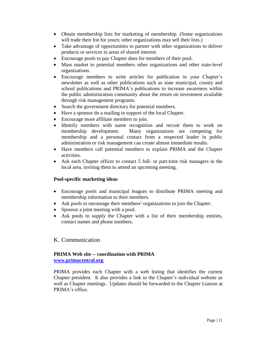- Obtain membership lists for marketing of membership. (Some organizations will trade their list for yours; other organizations may sell their lists.)
- Take advantage of opportunities to partner with other organizations to deliver products or services in areas of shared interest.
- Encourage pools to pay Chapter dues for members of their pool.
- Mass market to potential members other organizations and other state-level organizations.
- Encourage members to write articles for publication in your Chapter's newsletter as well as other publications such as state municipal, county and school publications and PRIMA's publications to increase awareness within the public administration community about the return on investment available through risk management programs.
- Search the government directory for potential members.
- Have a sponsor do a mailing in support of the local Chapter.
- Encourage more affiliate members to join.
- Identify members with name recognition and recruit them to work on membership development. Many organizations are competing for membership and a personal contact from a respected leader in public administration or risk management can create almost immediate results.
- Have members call potential members to explain PRIMA and the Chapter activities.
- Ask each Chapter officer to contact 5 full- or part-time risk managers in the local area, inviting them to attend an upcoming meeting.

#### **Pool-specific marketing ideas**

- Encourage pools and municipal leagues to distribute PRIMA meeting and membership information to their members.
- Ask pools to encourage their members<sup>2</sup> organizations to join the Chapter.
- Sponsor a joint meeting with a pool.
- Ask pools to supply the Chapter with a list of their membership entities, contact names and phone numbers.

# K. Communication

#### **PRIMA Web site -- coordination with PRIMA [www.primacentral.org](http://www.primacentral.org/)**

PRIMA provides each Chapter with a web listing that identifies the current Chapter president. It also provides a link to the Chapter's individual website as well as Chapter meetings. Updates should be forwarded to the Chapter Liaison at PRIMA's office.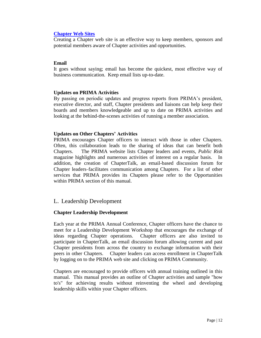#### **[Chapter Web Sites](http://www.primacentral.org/content.cfm?sectionid=7)**

Creating a Chapter web site is an effective way to keep members, sponsors and potential members aware of Chapter activities and opportunities.

#### **Email**

It goes without saying; email has become the quickest, most effective way of business communication. Keep email lists up-to-date.

#### **Updates on PRIMA Activities**

By passing on periodic updates and progress reports from PRIMA's president, executive director, and staff, Chapter presidents and liaisons can help keep their boards and members knowledgeable and up to date on PRIMA activities and looking at the behind-the-scenes activities of running a member association.

#### **Updates on Other Chapters' Activities**

PRIMA encourages Chapter officers to interact with those in other Chapters. Often, this collaboration leads to the sharing of ideas that can benefit both Chapters. The PRIMA website lists Chapter leaders and events, *Public Risk* magazine highlights and numerous activities of interest on a regular basis. In addition, the creation of ChapterTalk, an email-based discussion forum for Chapter leaders facilitates communication among Chapters. For a list of other services that PRIMA provides its Chapters please refer to the Opportunities within PRIMA section of this manual.

#### L. Leadership Development

#### **Chapter Leadership Development**

Each year at the PRIMA Annual Conference, Chapter officers have the chance to meet for a Leadership Development Workshop that encourages the exchange of ideas regarding Chapter operations. Chapter officers are also invited to participate in ChapterTalk, an email discussion forum allowing current and past Chapter presidents from across the country to exchange information with their peers in other Chapters. Chapter leaders can access enrollment in ChapterTalk by logging on to the PRIMA web site and clicking on PRIMA Community.

Chapters are encouraged to provide officers with annual training outlined in this manual. This manual provides an outline of Chapter activities and sample "how to's" for achieving results without reinventing the wheel and developing leadership skills within your Chapter officers.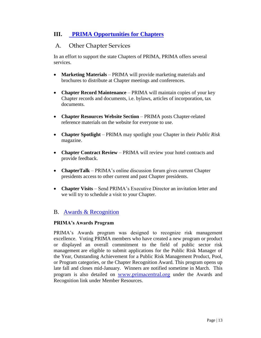# **III. [PRIMA Opportunities for Chapters](../CHAPTERS%20PROMOTION%20STUFF/Chapter%20Services%20Flyer.pdf)**

# A. Other Chapter Services

In an effort to support the state Chapters of PRIMA, PRIMA offers several services.

- **Marketing Materials** PRIMA will provide marketing materials and brochures to distribute at Chapter meetings and conferences.
- **Chapter Record Maintenance** PRIMA will maintain copies of your key Chapter records and documents, i.e. bylaws, articles of incorporation, tax documents.
- **Chapter Resources Website Section** PRIMA posts Chapter-related reference materials on the website for everyone to use.
- **Chapter Spotlight** PRIMA may spotlight your Chapter in their *Public Risk* magazine.
- **Chapter Contract Review PRIMA** will review your hotel contracts and provide feedback.
- **ChapterTalk**  PRIMA's online discussion forum gives current Chapter presidents access to other current and past Chapter presidents.
- **Chapter Visits** Send PRIMA's Executive Director an invitation letter and we will try to schedule a visit to your Chapter.

# B. [Awards & Recognition](http://www.primacentral.org/content.cfm?sectionid=16)

#### **PRIMA's Awards Program**

PRIMA's Awards program was designed to recognize risk management excellence. Voting PRIMA members who have created a new program or product or displayed an overall commitment to the field of public sector risk management are eligible to submit applications for the Public Risk Manager of the Year, Outstanding Achievement for a Public Risk Management Product, Pool, or Program categories, or the Chapter Recognition Award. This program opens up late fall and closes mid-January. Winners are notified sometime in March. This program is also detailed on [www.primacentral.org](http://www.primacentral.org/) under the Awards and Recognition link under Member Resources.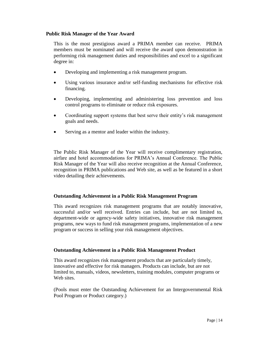#### **Public Risk Manager of the Year Award**

This is the most prestigious award a PRIMA member can receive. PRIMA members must be nominated and will receive the award upon demonstration in performing risk management duties and responsibilities and excel to a significant degree in:

- Developing and implementing a risk management program.
- Using various insurance and/or self-funding mechanisms for effective risk financing.
- Developing, implementing and administering loss prevention and loss control programs to eliminate or reduce risk exposures.
- Coordinating support systems that best serve their entity's risk management goals and needs.
- Serving as a mentor and leader within the industry.

The Public Risk Manager of the Year will receive complimentary registration, airfare and hotel accommodations for PRIMA's Annual Conference. The Public Risk Manager of the Year will also receive recognition at the Annual Conference, recognition in PRIMA publications and Web site, as well as be featured in a short video detailing their achievements.

#### **Outstanding Achievement in a Public Risk Management Program**

This award recognizes risk management programs that are notably innovative, successful and/or well received. Entries can include, but are not limited to, department-wide or agency-wide safety initiatives, innovative risk management programs, new ways to fund risk management programs, implementation of a new program or success in selling your risk management objectives.

#### **Outstanding Achievement in a Public Risk Management Product**

This award recognizes risk management products that are particularly timely, innovative and effective for risk managers. Products can include, but are not limited to, manuals, videos, newsletters, training modules, computer programs or Web sites.

(Pools must enter the Outstanding Achievement for an Intergovernmental Risk Pool Program or Product category.)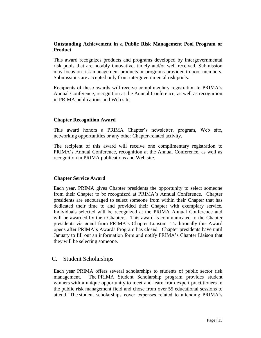#### **Outstanding Achievement in a Public Risk Management Pool Program or Product**

This award recognizes products and programs developed by intergovernmental risk pools that are notably innovative, timely and/or well received. Submission may focus on risk management products or programs provided to pool members. Submissions are accepted only from intergovernmental risk pools.

Recipients of these awards will receive complimentary registration to PRIMA's Annual Conference, recognition at the Annual Conference, as well as recognition in PRIMA publications and Web site.

#### **Chapter Recognition Award**

This award honors a PRIMA Chapter's newsletter, program, Web site, networking opportunities or any other Chapter-related activity.

The recipient of this award will receive one complimentary registration to PRIMA's Annual Conference, recognition at the Annual Conference, as well as recognition in PRIMA publications and Web site.

#### **Chapter Service Award**

Each year, PRIMA gives Chapter presidents the opportunity to select someone from their Chapter to be recognized at PRIMA's Annual Conference. Chapter presidents are encouraged to select someone from within their Chapter that has dedicated their time to and provided their Chapter with exemplary service. Individuals selected will be recognized at the PRIMA Annual Conference and will be awarded by their Chapters. This award is communicated to the Chapter presidents via email from PRIMA's Chapter Liaison. Traditionally this Award opens after PRIMA's Awards Program has closed. Chapter presidents have until January to fill out an information form and notify PRIMA's Chapter Liaison that they will be selecting someone.

#### C. Student Scholarships

Each year PRIMA offers several scholarships to students of public sector risk management. The PRIMA Student Scholarship program provides student winners with a unique opportunity to meet and learn from expert practitioners in the public risk management field and chose from over 55 educational sessions to attend. The student scholarships cover expenses related to attending PRIMA's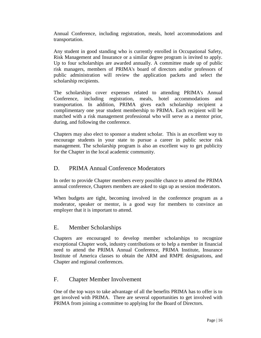Annual Conference, including registration, meals, hotel accommodations and transportation.

Any student in good standing who is currently enrolled in Occupational Safety, Risk Management and Insurance or a similar degree program is invited to apply. Up to four scholarships are awarded annually. A committee made up of public risk managers, members of PRIMA's board of directors and/or professors of public administration will review the application packets and select the scholarship recipients.

The scholarships cover expenses related to attending PRIMA's Annual Conference, including registration, meals, hotel accommodations and transportation. In addition, PRIMA gives each scholarship recipient a complimentary one year student membership to PRIMA. Each recipient will be matched with a risk management professional who will serve as a mentor prior, during, and following the conference.

Chapters may also elect to sponsor a student scholar. This is an excellent way to encourage students in your state to pursue a career in public sector risk management. The scholarship program is also an excellent way to get publicity for the Chapter in the local academic community.

# D. PRIMA Annual Conference Moderators

In order to provide Chapter members every possible chance to attend the PRIMA annual conference, Chapters members are asked to sign up as session moderators.

When budgets are tight, becoming involved in the conference program as a moderator, speaker or mentor, is a good way for members to convince an employer that it is important to attend.

# E. Member Scholarships

Chapters are encouraged to develop member scholarships to recognize exceptional Chapter work, industry contributions or to help a member in financial need to attend the PRIMA Annual Conference, PRIMA Institute, Insurance Institute of America classes to obtain the ARM and RMPE designations, and Chapter and regional conferences.

# F. Chapter Member Involvement

One of the top ways to take advantage of all the benefits PRIMA has to offer is to get involved with PRIMA. There are several opportunities to get involved with PRIMA from joining a committee to applying for the Board of Directors.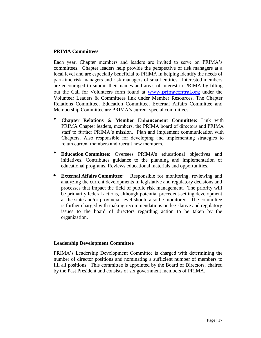#### **PRIMA Committees**

Each year, Chapter members and leaders are invited to serve on PRIMA's committees. Chapter leaders help provide the perspective of risk managers at a local level and are especially beneficial to PRIMA in helping identify the needs of part-time risk managers and risk managers of small entities. Interested members are encouraged to submit their names and areas of interest to PRIMA by filling out the Call for Volunteers form found at [www.primacentral.org](http://www.primacentral.org/) under the Volunteer Leaders & Committees link under Member Resources. The Chapter Relations Committee, Education Committee, External Affairs Committee and Membership Committee are PRIMA's current special committees.

- **Chapter Relations & Member Enhancement Committee:** Link with PRIMA Chapter leaders, members, the PRIMA board of directors and PRIMA staff to further PRIMA's mission. Plan and implement communication with Chapters. Also responsible for developing and implementing strategies to retain current members and recruit new members.
- **Education Committee:** Oversees PRIMA's educational objectives and initiatives. Contributes guidance to the planning and implementation of educational programs. Reviews educational materials and opportunities.
- **External Affairs Committee:** Responsible for monitoring, reviewing and analyzing the current developments in legislative and regulatory decisions and processes that impact the field of public risk management. The priority will be primarily federal actions, although potential precedent-setting development at the state and/or provincial level should also be monitored. The committee is further charged with making recommendations on legislative and regulatory issues to the board of directors regarding action to be taken by the organization.

#### **Leadership Development Committee**

PRIMA's Leadership Development Committee is charged with determining the number of director positions and nominating a sufficient number of members to fill all positions. This committee is appointed by the Board of Directors, chaired by the Past President and consists of six government members of PRIMA.